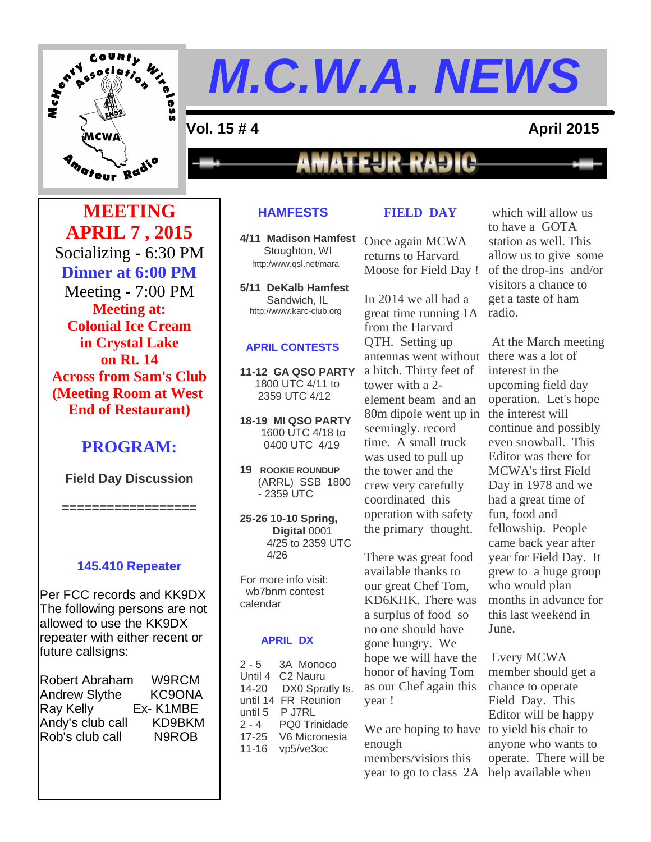

**=**

#### **Vol. 15 # 4 April 2015**

**MATEUR-RADIO** 

**MEETING APRIL 7 , 2015** Socializing - 6:30 PM **Dinner at 6:00 PM** Meeting - 7:00 PM **Meeting at: Colonial Ice Cream in Crystal Lake on Rt. 14 Across from Sam's Club (Meeting Room at West End of Restaurant)**

#### **PROGRAM:**

**Field Day Discussion**

**==================**

#### **145.410 Repeater**

Per FCC records and KK9DX The following persons are not allowed to use the KK9DX repeater with either recent or future callsigns:

| <b>Robert Abraham</b> | W9RCM    |
|-----------------------|----------|
| <b>Andrew Slythe</b>  | KC9ONA   |
| Ray Kelly             | Ex-K1MBE |
| Andy's club call      | KD9BKM   |
| Rob's club call       | N9ROB    |
|                       |          |

#### **HAMFESTS**

**4/11 Madison Hamfest** Once again MCWA Stoughton, WI http:/www.qsl.net/mara

**5/11 DeKalb Hamfest** Sandwich, IL http://www.karc-club.org

#### **APRIL CONTESTS**

**11-12 GA QSO PARTY** 1800 UTC 4/11 to 2359 UTC 4/12

**18-19 MI QSO PARTY** 1600 UTC 4/18 to 0400 UTC 4/19

**19 ROOKIE ROUNDUP** (ARRL) SSB 1800 - 2359 UTC

**25-26 10-10 Spring, Digital** 0001 4/25 to 2359 UTC 4/26

For more info visit: wb7bnm contest calendar

#### **APRIL DX**

2 - 5 3A Monoco Until 4 C2 Nauru 14-20 DX0 Spratly Is. until 14 FR Reunion until 5 P J7RL<br>2 - 4 PQ0 Tri PQ0 Trinidade 17-25 V6 Micronesia 11-16 vp5/ve3oc

#### **FIELD DAY**

returns to Harvard Moose for Field Day !

In 2014 we all had a great time running 1A radio. from the Harvard QTH. Setting up antennas went without a hitch. Thirty feet of tower with a 2 element beam and an 80m dipole went up in seemingly. record time. A small truck was used to pull up the tower and the crew very carefully coordinated this operation with safety the primary thought.

There was great food available thanks to our great Chef Tom, KD6KHK. There was a surplus of food so no one should have gone hungry. We hope we will have the honor of having Tom as our Chef again this year !

We are hoping to have to yield his chair to enough members/visiors this year to go to class 2A help available when

which will allow us to have a GOTA station as well. This allow us to give some of the drop-ins and/or visitors a chance to get a taste of ham

At the March meeting there was a lot of interest in the upcoming field day operation. Let's hope the interest will continue and possibly even snowball. This Editor was there for MCWA's first Field Day in 1978 and we had a great time of fun, food and fellowship. People came back year after year for Field Day. It grew to a huge group who would plan months in advance for this last weekend in June.

Every MCWA member should get a chance to operate Field Day. This Editor will be happy anyone who wants to operate. There will be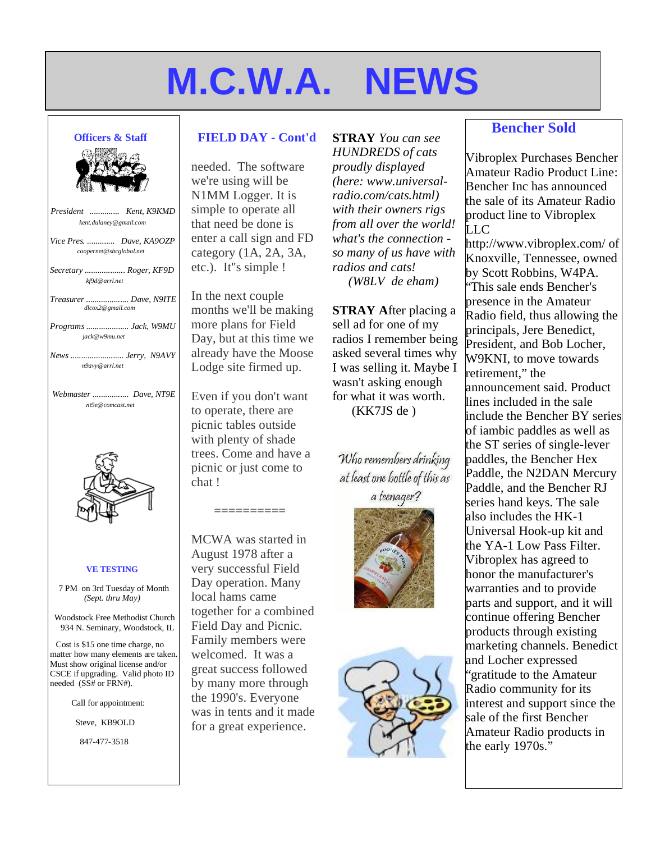#### **Officers & Staff**

| <b>Officers &amp; Staff</b>                         |
|-----------------------------------------------------|
|                                                     |
| President  Kent, K9KMD<br>kent.dulaney@gmail.com    |
| Vice Pres.  Dave, KA9OZP<br>coopernet@sbcglobal.net |
| Secretary  Roger, KF9D<br>kf9d@arrl.net             |
| Treasurer  Dave, N9ITE<br>dlcox2@gmail.com          |
| Programs  Jack, W9MU<br>jack@w9mu.net               |
| News Jerry, N9AVY<br>n9avy@arrl.net                 |
| Webmaster  Dave, NT9E<br>nt9e@comcast.net           |
|                                                     |

#### **VE TESTING**

U

7 PM on 3rd Tuesday of Month *(Sept. thru May)*

Woodstock Free Methodist Church 934 N. Seminary, Woodstock, IL

Cost is \$15 one time charge, no matter how many elements are taken. Must show original license and/or CSCE if upgrading. Valid photo ID needed (SS# or FRN#).

Call for appointment:

Steve, KB9OLD

847-477-3518

#### **FIELD DAY - Cont'd**

needed. The software we're using will be N1MM Logger. It is simple to operate all that need be done is enter a call sign and FD category (1A, 2A, 3A, etc.). It''s simple !

In the next couple months we'll be making more plans for Field Day, but at this time we already have the Moose Lodge site firmed up.

Even if you don't want to operate, there are picnic tables outside with plenty of shade trees. Come and have a picnic or just come to chat !

==========

MCWA was started in August 1978 after a very successful Field Day operation. Many local hams came together for a combined Field Day and Picnic. Family members were welcomed. It was a great success followed by many more through the 1990's. Everyone was in tents and it made for a great experience.

**STRAY** *You can see HUNDREDS of cats proudly displayed (here: www.universalradio.com/cats.html) with their owners rigs from all over the world! what's the connection so many of us have with radios and cats! (W8LV de eham)*

**STRAY A**fter placing a sell ad for one of my radios I remember being asked several times why I was selling it. Maybe I wasn't asking enough for what it was worth.

(KK7JS de )

Who remembers drinking at least one bottle of this as a teenager?





#### **Bencher Sold**

Vibroplex Purchases Bencher Amateur Radio Product Line: Bencher Inc has announced the sale of its Amateur Radio product line to Vibroplex LLC

http://www.vibroplex.com/ of Knoxville, Tennessee, owned by Scott Robbins, W4PA. "This sale ends Bencher's presence in the Amateur Radio field, thus allowing the principals, Jere Benedict, President, and Bob Locher, W9KNI, to move towards retirement," the announcement said. Product lines included in the sale include the Bencher BY series of iambic paddles as well as the ST series of single-lever paddles, the Bencher Hex Paddle, the N2DAN Mercury Paddle, and the Bencher RJ series hand keys. The sale also includes the HK-1 Universal Hook-up kit and the YA-1 Low Pass Filter. Vibroplex has agreed to honor the manufacturer's warranties and to provide parts and support, and it will continue offering Bencher products through existing marketing channels. Benedict and Locher expressed "gratitude to the Amateur Radio community for its interest and support since the sale of the first Bencher Amateur Radio products in the early 1970s."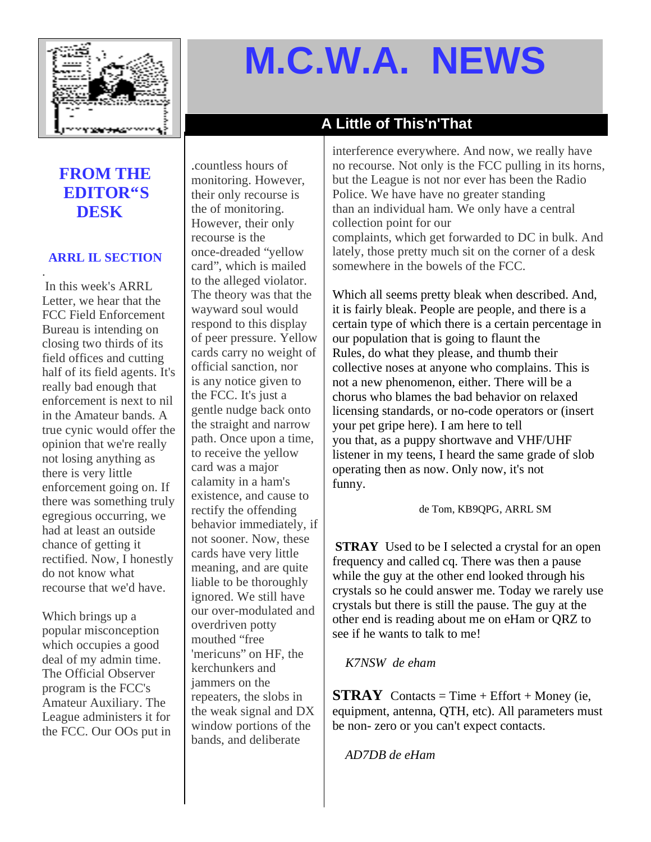

#### **A Little of This'n'That**

#### **FROM THE EDITOR"S DESK**

#### **ARRL IL SECTION**

. In this week's ARRL Letter, we hear that the FCC Field Enforcement Bureau is intending on closing two thirds of its field offices and cutting half of its field agents. It's really bad enough that enforcement is next to nil in the Amateur bands. A true cynic would offer the opinion that we're really not losing anything as there is very little enforcement going on. If there was something truly egregious occurring, we had at least an outside chance of getting it rectified. Now, I honestly do not know what recourse that we'd have.

Which brings up a popular misconception which occupies a good deal of my admin time. The Official Observer program is the FCC's Amateur Auxiliary. The League administers it for the FCC. Our OOs put in

.countless hours of monitoring. However, their only recourse is the of monitoring. However, their only recourse is the once-dreaded "yellow card", which is mailed to the alleged violator. The theory was that the wayward soul would respond to this display of peer pressure. Yellow cards carry no weight of official sanction, nor is any notice given to the FCC. It's just a gentle nudge back onto the straight and narrow path. Once upon a time, to receive the yellow card was a major calamity in a ham's existence, and cause to rectify the offending behavior immediately, if not sooner. Now, these cards have very little meaning, and are quite liable to be thoroughly ignored. We still have our over-modulated and overdriven potty mouthed "free 'mericuns" on HF, the kerchunkers and iammers on the repeaters, the slobs in the weak signal and DX window portions of the bands, and deliberate

interference everywhere. And now, we really have no recourse. Not only is the FCC pulling in its horns, but the League is not nor ever has been the Radio Police. We have have no greater standing than an individual ham. We only have a central collection point for our complaints, which get forwarded to DC in bulk. And lately, those pretty much sit on the corner of a desk somewhere in the bowels of the FCC.

Which all seems pretty bleak when described. And, it is fairly bleak. People are people, and there is a certain type of which there is a certain percentage in our population that is going to flaunt the Rules, do what they please, and thumb their collective noses at anyone who complains. This is not a new phenomenon, either. There will be a chorus who blames the bad behavior on relaxed licensing standards, or no-code operators or (insert your pet gripe here). I am here to tell you that, as a puppy shortwave and VHF/UHF listener in my teens, I heard the same grade of slob operating then as now. Only now, it's not funny.

#### de Tom, KB9QPG, ARRL SM

**STRAY** Used to be I selected a crystal for an open frequency and called cq. There was then a pause while the guy at the other end looked through his crystals so he could answer me. Today we rarely use crystals but there is still the pause. The guy at the other end is reading about me on eHam or QRZ to see if he wants to talk to me!

#### *K7NSW de eham*

**STRAY** Contacts = Time + Effort + Money (ie, equipment, antenna, QTH, etc). All parameters must be non- zero or you can't expect contacts.

*AD7DB de eHam*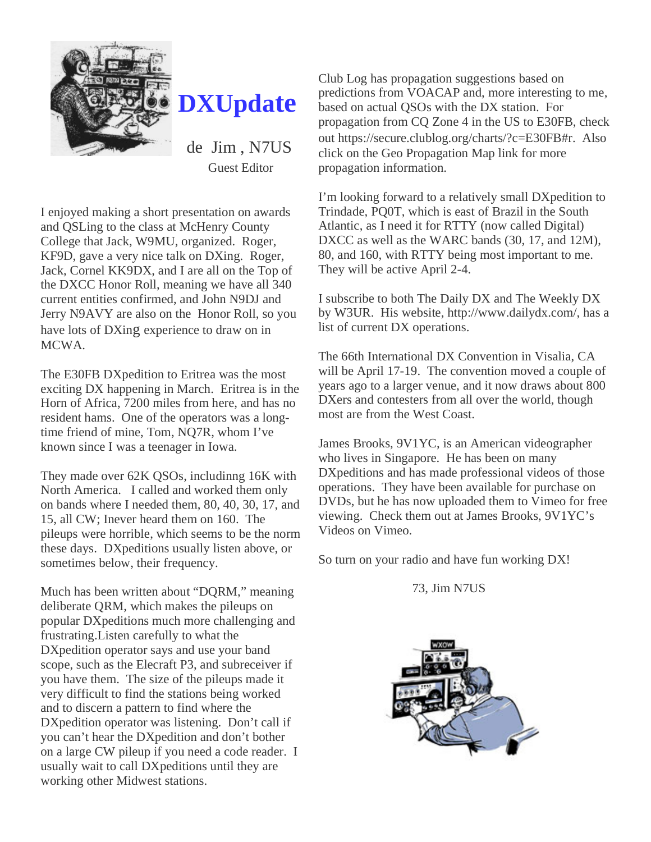

### **DXUpdate**

de Jim , N7US Guest Editor

I enjoyed making a short presentation on awards and QSLing to the class at McHenry County College that Jack, W9MU, organized. Roger, KF9D, gave a very nice talk on DXing. Roger, Jack, Cornel KK9DX, and I are all on the Top of the DXCC Honor Roll, meaning we have all 340 current entities confirmed, and John N9DJ and Jerry N9AVY are also on the Honor Roll, so you have lots of DXing experience to draw on in MCWA.

The E30FB DXpedition to Eritrea was the most exciting DX happening in March. Eritrea is in the Horn of Africa, 7200 miles from here, and has no resident hams. One of the operators was a longtime friend of mine, Tom, NQ7R, whom I've known since I was a teenager in Iowa.

They made over 62K QSOs, includinng 16K with North America. I called and worked them only on bands where I needed them, 80, 40, 30, 17, and 15, all CW; Inever heard them on 160. The pileups were horrible, which seems to be the norm these days. DXpeditions usually listen above, or sometimes below, their frequency.

Much has been written about "DQRM," meaning deliberate QRM, which makes the pileups on popular DXpeditions much more challenging and frustrating.Listen carefully to what the DXpedition operator says and use your band scope, such as the Elecraft P3, and subreceiver if you have them. The size of the pileups made it very difficult to find the stations being worked and to discern a pattern to find where the DXpedition operator was listening. Don't call if you can't hear the DXpedition and don't bother on a large CW pileup if you need a code reader. I usually wait to call DXpeditions until they are working other Midwest stations.

Club Log has propagation suggestions based on predictions from VOACAP and, more interesting to me, based on actual QSOs with the DX station. For propagation from CQ Zone 4 in the US to E30FB, check out https://secure.clublog.org/charts/?c=E30FB#r. Also click on the Geo Propagation Map link for more propagation information.

I'm looking forward to a relatively small DXpedition to Trindade, PQ0T, which is east of Brazil in the South Atlantic, as I need it for RTTY (now called Digital) DXCC as well as the WARC bands (30, 17, and 12M), 80, and 160, with RTTY being most important to me. They will be active April 2-4.

I subscribe to both The Daily DX and The Weekly DX by W3UR. His website, http://www.dailydx.com/, has a list of current DX operations.

The 66th International DX Convention in Visalia, CA will be April 17-19. The convention moved a couple of years ago to a larger venue, and it now draws about 800 DXers and contesters from all over the world, though most are from the West Coast.

James Brooks, 9V1YC, is an American videographer who lives in Singapore. He has been on many DXpeditions and has made professional videos of those operations. They have been available for purchase on DVDs, but he has now uploaded them to Vimeo for free viewing. Check them out at James Brooks, 9V1YC's Videos on Vimeo.

So turn on your radio and have fun working DX!

73, Jim N7US